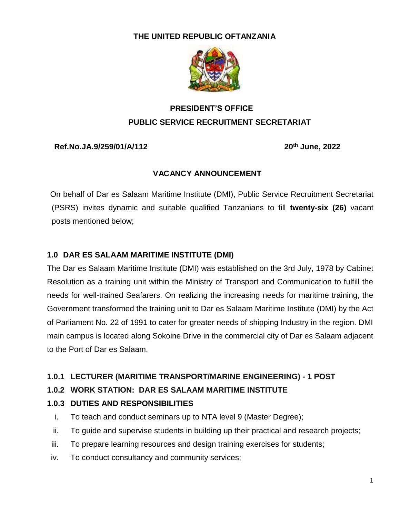#### **THE UNITED REPUBLIC OFTANZANIA**



## **PRESIDENT'S OFFICE PUBLIC SERVICE RECRUITMENT SECRETARIAT**

#### **Ref.No.JA.9/259/01/A/112 20th June, 2022**

#### **VACANCY ANNOUNCEMENT**

 On behalf of Dar es Salaam Maritime Institute (DMI), Public Service Recruitment Secretariat (PSRS) invites dynamic and suitable qualified Tanzanians to fill **twenty-six (26)** vacant posts mentioned below;

#### **1.0 DAR ES SALAAM MARITIME INSTITUTE (DMI)**

The Dar es Salaam Maritime Institute (DMI) was established on the 3rd July, 1978 by Cabinet Resolution as a training unit within the Ministry of Transport and Communication to fulfill the needs for well-trained Seafarers. On realizing the increasing needs for maritime training, the Government transformed the training unit to Dar es Salaam Maritime Institute (DMI) by the Act of Parliament No. 22 of 1991 to cater for greater needs of shipping Industry in the region. DMI main campus is located along Sokoine Drive in the commercial city of Dar es Salaam adjacent to the Port of Dar es Salaam.

#### **1.0.1 LECTURER (MARITIME TRANSPORT/MARINE ENGINEERING) - 1 POST**

#### **1.0.2 WORK STATION: DAR ES SALAAM MARITIME INSTITUTE**

#### **1.0.3 DUTIES AND RESPONSIBILITIES**

- i. To teach and conduct seminars up to NTA level 9 (Master Degree);
- ii. To guide and supervise students in building up their practical and research projects;
- iii. To prepare learning resources and design training exercises for students;
- iv. To conduct consultancy and community services;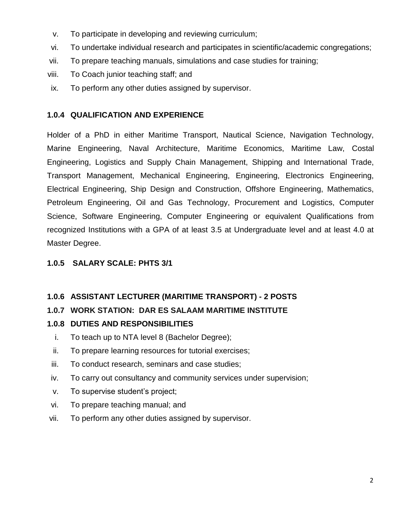- v. To participate in developing and reviewing curriculum;
- vi. To undertake individual research and participates in scientific/academic congregations;
- vii. To prepare teaching manuals, simulations and case studies for training;
- viii. To Coach junior teaching staff; and
- ix. To perform any other duties assigned by supervisor.

#### **1.0.4 QUALIFICATION AND EXPERIENCE**

Holder of a PhD in either Maritime Transport, Nautical Science, Navigation Technology, Marine Engineering, Naval Architecture, Maritime Economics, Maritime Law, Costal Engineering, Logistics and Supply Chain Management, Shipping and International Trade, Transport Management, Mechanical Engineering, Engineering, Electronics Engineering, Electrical Engineering, Ship Design and Construction, Offshore Engineering, Mathematics, Petroleum Engineering, Oil and Gas Technology, Procurement and Logistics, Computer Science, Software Engineering, Computer Engineering or equivalent Qualifications from recognized Institutions with a GPA of at least 3.5 at Undergraduate level and at least 4.0 at Master Degree.

#### **1.0.5 SALARY SCALE: PHTS 3/1**

#### **1.0.6 ASSISTANT LECTURER (MARITIME TRANSPORT) - 2 POSTS**

#### **1.0.7 WORK STATION: DAR ES SALAAM MARITIME INSTITUTE**

#### **1.0.8 DUTIES AND RESPONSIBILITIES**

- i. To teach up to NTA level 8 (Bachelor Degree);
- ii. To prepare learning resources for tutorial exercises;
- iii. To conduct research, seminars and case studies;
- iv. To carry out consultancy and community services under supervision;
- v. To supervise student's project;
- vi. To prepare teaching manual; and
- vii. To perform any other duties assigned by supervisor.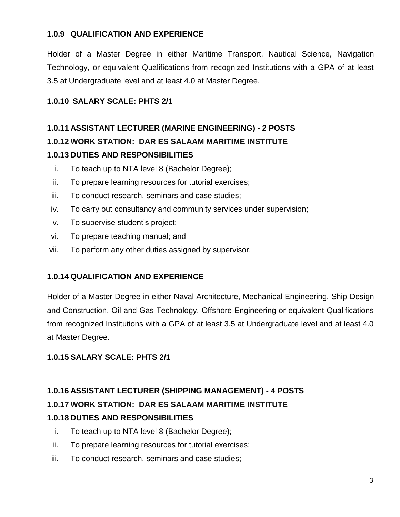#### **1.0.9 QUALIFICATION AND EXPERIENCE**

Holder of a Master Degree in either Maritime Transport, Nautical Science, Navigation Technology, or equivalent Qualifications from recognized Institutions with a GPA of at least 3.5 at Undergraduate level and at least 4.0 at Master Degree.

## **1.0.10 SALARY SCALE: PHTS 2/1**

## **1.0.11 ASSISTANT LECTURER (MARINE ENGINEERING) - 2 POSTS 1.0.12 WORK STATION: DAR ES SALAAM MARITIME INSTITUTE 1.0.13 DUTIES AND RESPONSIBILITIES**

- i. To teach up to NTA level 8 (Bachelor Degree);
- ii. To prepare learning resources for tutorial exercises;
- iii. To conduct research, seminars and case studies;
- iv. To carry out consultancy and community services under supervision;
- v. To supervise student's project;
- vi. To prepare teaching manual; and
- vii. To perform any other duties assigned by supervisor.

#### **1.0.14 QUALIFICATION AND EXPERIENCE**

Holder of a Master Degree in either Naval Architecture, Mechanical Engineering, Ship Design and Construction, Oil and Gas Technology, Offshore Engineering or equivalent Qualifications from recognized Institutions with a GPA of at least 3.5 at Undergraduate level and at least 4.0 at Master Degree.

#### **1.0.15 SALARY SCALE: PHTS 2/1**

# **1.0.16 ASSISTANT LECTURER (SHIPPING MANAGEMENT) - 4 POSTS 1.0.17 WORK STATION: DAR ES SALAAM MARITIME INSTITUTE 1.0.18 DUTIES AND RESPONSIBILITIES**

- i. To teach up to NTA level 8 (Bachelor Degree);
- ii. To prepare learning resources for tutorial exercises;
- iii. To conduct research, seminars and case studies;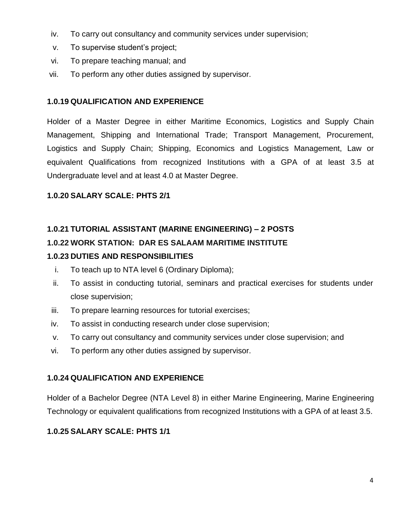- iv. To carry out consultancy and community services under supervision;
- v. To supervise student's project;
- vi. To prepare teaching manual; and
- vii. To perform any other duties assigned by supervisor.

#### **1.0.19 QUALIFICATION AND EXPERIENCE**

Holder of a Master Degree in either Maritime Economics, Logistics and Supply Chain Management, Shipping and International Trade; Transport Management, Procurement, Logistics and Supply Chain; Shipping, Economics and Logistics Management, Law or equivalent Qualifications from recognized Institutions with a GPA of at least 3.5 at Undergraduate level and at least 4.0 at Master Degree.

#### **1.0.20 SALARY SCALE: PHTS 2/1**

# **1.0.21 TUTORIAL ASSISTANT (MARINE ENGINEERING) – 2 POSTS 1.0.22 WORK STATION: DAR ES SALAAM MARITIME INSTITUTE**

## **1.0.23 DUTIES AND RESPONSIBILITIES**

- i. To teach up to NTA level 6 (Ordinary Diploma);
- ii. To assist in conducting tutorial, seminars and practical exercises for students under close supervision;
- iii. To prepare learning resources for tutorial exercises;
- iv. To assist in conducting research under close supervision;
- v. To carry out consultancy and community services under close supervision; and
- vi. To perform any other duties assigned by supervisor.

#### **1.0.24 QUALIFICATION AND EXPERIENCE**

Holder of a Bachelor Degree (NTA Level 8) in either Marine Engineering, Marine Engineering Technology or equivalent qualifications from recognized Institutions with a GPA of at least 3.5.

## **1.0.25 SALARY SCALE: PHTS 1/1**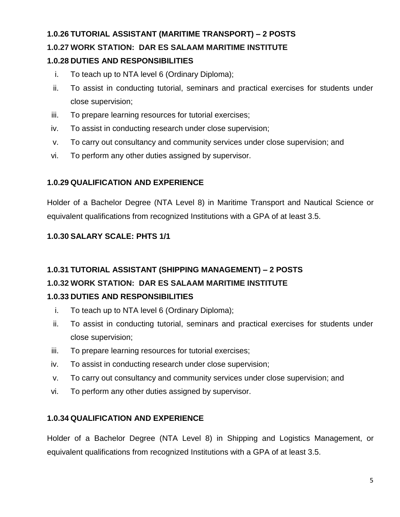#### **1.0.26 TUTORIAL ASSISTANT (MARITIME TRANSPORT) – 2 POSTS**

## **1.0.27 WORK STATION: DAR ES SALAAM MARITIME INSTITUTE**

#### **1.0.28 DUTIES AND RESPONSIBILITIES**

- i. To teach up to NTA level 6 (Ordinary Diploma);
- ii. To assist in conducting tutorial, seminars and practical exercises for students under close supervision;
- iii. To prepare learning resources for tutorial exercises;
- iv. To assist in conducting research under close supervision;
- v. To carry out consultancy and community services under close supervision; and
- vi. To perform any other duties assigned by supervisor.

#### **1.0.29 QUALIFICATION AND EXPERIENCE**

Holder of a Bachelor Degree (NTA Level 8) in Maritime Transport and Nautical Science or equivalent qualifications from recognized Institutions with a GPA of at least 3.5.

## **1.0.30 SALARY SCALE: PHTS 1/1**

## **1.0.31 TUTORIAL ASSISTANT (SHIPPING MANAGEMENT) – 2 POSTS**

## **1.0.32 WORK STATION: DAR ES SALAAM MARITIME INSTITUTE**

#### **1.0.33 DUTIES AND RESPONSIBILITIES**

- i. To teach up to NTA level 6 (Ordinary Diploma);
- ii. To assist in conducting tutorial, seminars and practical exercises for students under close supervision;
- iii. To prepare learning resources for tutorial exercises;
- iv. To assist in conducting research under close supervision;
- v. To carry out consultancy and community services under close supervision; and
- vi. To perform any other duties assigned by supervisor.

#### **1.0.34 QUALIFICATION AND EXPERIENCE**

Holder of a Bachelor Degree (NTA Level 8) in Shipping and Logistics Management, or equivalent qualifications from recognized Institutions with a GPA of at least 3.5.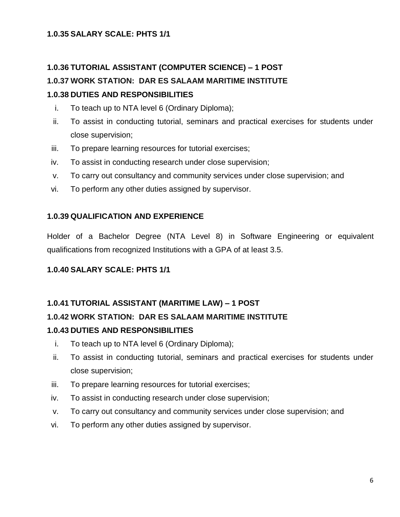#### **1.0.35 SALARY SCALE: PHTS 1/1**

#### **1.0.36 TUTORIAL ASSISTANT (COMPUTER SCIENCE) – 1 POST**

#### **1.0.37 WORK STATION: DAR ES SALAAM MARITIME INSTITUTE**

#### **1.0.38 DUTIES AND RESPONSIBILITIES**

- i. To teach up to NTA level 6 (Ordinary Diploma);
- ii. To assist in conducting tutorial, seminars and practical exercises for students under close supervision;
- iii. To prepare learning resources for tutorial exercises;
- iv. To assist in conducting research under close supervision;
- v. To carry out consultancy and community services under close supervision; and
- vi. To perform any other duties assigned by supervisor.

#### **1.0.39 QUALIFICATION AND EXPERIENCE**

Holder of a Bachelor Degree (NTA Level 8) in Software Engineering or equivalent qualifications from recognized Institutions with a GPA of at least 3.5.

#### **1.0.40 SALARY SCALE: PHTS 1/1**

#### **1.0.41 TUTORIAL ASSISTANT (MARITIME LAW) – 1 POST**

#### **1.0.42 WORK STATION: DAR ES SALAAM MARITIME INSTITUTE**

#### **1.0.43 DUTIES AND RESPONSIBILITIES**

- i. To teach up to NTA level 6 (Ordinary Diploma);
- ii. To assist in conducting tutorial, seminars and practical exercises for students under close supervision;
- iii. To prepare learning resources for tutorial exercises;
- iv. To assist in conducting research under close supervision;
- v. To carry out consultancy and community services under close supervision; and
- vi. To perform any other duties assigned by supervisor.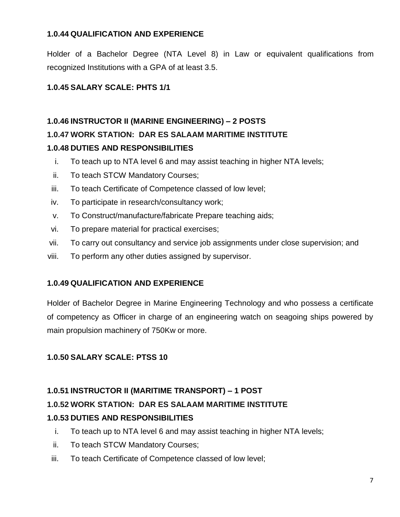#### **1.0.44 QUALIFICATION AND EXPERIENCE**

Holder of a Bachelor Degree (NTA Level 8) in Law or equivalent qualifications from recognized Institutions with a GPA of at least 3.5.

## **1.0.45 SALARY SCALE: PHTS 1/1**

## **1.0.46 INSTRUCTOR II (MARINE ENGINEERING) – 2 POSTS**

## **1.0.47 WORK STATION: DAR ES SALAAM MARITIME INSTITUTE**

#### **1.0.48 DUTIES AND RESPONSIBILITIES**

- i. To teach up to NTA level 6 and may assist teaching in higher NTA levels;
- ii. To teach STCW Mandatory Courses;
- iii. To teach Certificate of Competence classed of low level;
- iv. To participate in research/consultancy work;
- v. To Construct/manufacture/fabricate Prepare teaching aids;
- vi. To prepare material for practical exercises;
- vii. To carry out consultancy and service job assignments under close supervision; and
- viii. To perform any other duties assigned by supervisor.

#### **1.0.49 QUALIFICATION AND EXPERIENCE**

Holder of Bachelor Degree in Marine Engineering Technology and who possess a certificate of competency as Officer in charge of an engineering watch on seagoing ships powered by main propulsion machinery of 750Kw or more.

#### **1.0.50 SALARY SCALE: PTSS 10**

#### **1.0.51 INSTRUCTOR II (MARITIME TRANSPORT) – 1 POST**

#### **1.0.52 WORK STATION: DAR ES SALAAM MARITIME INSTITUTE**

#### **1.0.53 DUTIES AND RESPONSIBILITIES**

- i. To teach up to NTA level 6 and may assist teaching in higher NTA levels;
- ii. To teach STCW Mandatory Courses;
- iii. To teach Certificate of Competence classed of low level;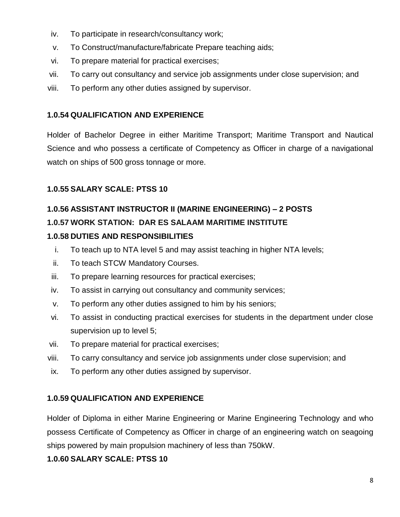- iv. To participate in research/consultancy work;
- v. To Construct/manufacture/fabricate Prepare teaching aids;
- vi. To prepare material for practical exercises;
- vii. To carry out consultancy and service job assignments under close supervision; and
- viii. To perform any other duties assigned by supervisor.

## **1.0.54 QUALIFICATION AND EXPERIENCE**

Holder of Bachelor Degree in either Maritime Transport; Maritime Transport and Nautical Science and who possess a certificate of Competency as Officer in charge of a navigational watch on ships of 500 gross tonnage or more.

## **1.0.55 SALARY SCALE: PTSS 10**

# **1.0.56 ASSISTANT INSTRUCTOR II (MARINE ENGINEERING) – 2 POSTS 1.0.57 WORK STATION: DAR ES SALAAM MARITIME INSTITUTE**

## **1.0.58 DUTIES AND RESPONSIBILITIES**

- i. To teach up to NTA level 5 and may assist teaching in higher NTA levels;
- ii. To teach STCW Mandatory Courses.
- iii. To prepare learning resources for practical exercises;
- iv. To assist in carrying out consultancy and community services;
- v. To perform any other duties assigned to him by his seniors;
- vi. To assist in conducting practical exercises for students in the department under close supervision up to level 5;
- vii. To prepare material for practical exercises;
- viii. To carry consultancy and service job assignments under close supervision; and
- ix. To perform any other duties assigned by supervisor.

## **1.0.59 QUALIFICATION AND EXPERIENCE**

Holder of Diploma in either Marine Engineering or Marine Engineering Technology and who possess Certificate of Competency as Officer in charge of an engineering watch on seagoing ships powered by main propulsion machinery of less than 750kW.

## **1.0.60 SALARY SCALE: PTSS 10**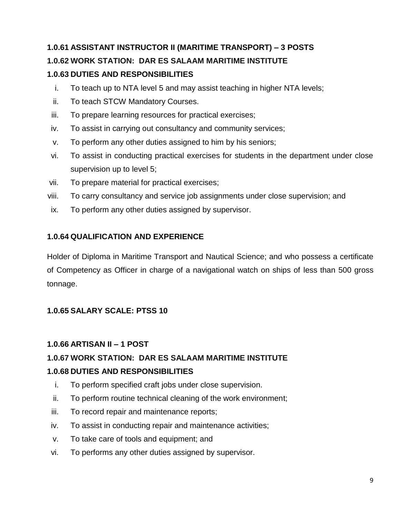# **1.0.61 ASSISTANT INSTRUCTOR II (MARITIME TRANSPORT) – 3 POSTS 1.0.62 WORK STATION: DAR ES SALAAM MARITIME INSTITUTE 1.0.63 DUTIES AND RESPONSIBILITIES**

- i. To teach up to NTA level 5 and may assist teaching in higher NTA levels;
- ii. To teach STCW Mandatory Courses.
- iii. To prepare learning resources for practical exercises;
- iv. To assist in carrying out consultancy and community services;
- v. To perform any other duties assigned to him by his seniors;
- vi. To assist in conducting practical exercises for students in the department under close supervision up to level 5;
- vii. To prepare material for practical exercises;
- viii. To carry consultancy and service job assignments under close supervision; and
- ix. To perform any other duties assigned by supervisor.

#### **1.0.64 QUALIFICATION AND EXPERIENCE**

Holder of Diploma in Maritime Transport and Nautical Science; and who possess a certificate of Competency as Officer in charge of a navigational watch on ships of less than 500 gross tonnage.

#### **1.0.65 SALARY SCALE: PTSS 10**

#### **1.0.66 ARTISAN II – 1 POST**

## **1.0.67 WORK STATION: DAR ES SALAAM MARITIME INSTITUTE 1.0.68 DUTIES AND RESPONSIBILITIES**

- i. To perform specified craft jobs under close supervision.
- ii. To perform routine technical cleaning of the work environment;
- iii. To record repair and maintenance reports;
- iv. To assist in conducting repair and maintenance activities;
- v. To take care of tools and equipment; and
- vi. To performs any other duties assigned by supervisor.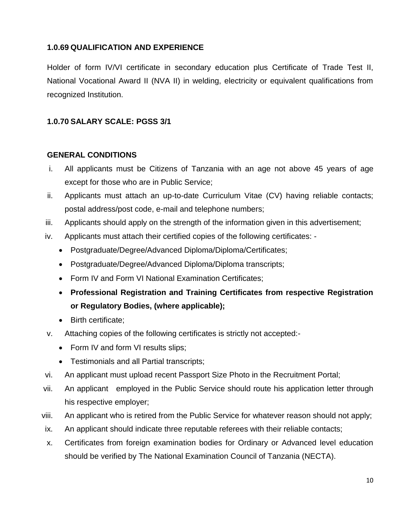#### **1.0.69 QUALIFICATION AND EXPERIENCE**

Holder of form IV/VI certificate in secondary education plus Certificate of Trade Test II, National Vocational Award II (NVA II) in welding, electricity or equivalent qualifications from recognized Institution.

#### **1.0.70 SALARY SCALE: PGSS 3/1**

#### **GENERAL CONDITIONS**

- i. All applicants must be Citizens of Tanzania with an age not above 45 years of age except for those who are in Public Service;
- ii. Applicants must attach an up-to-date Curriculum Vitae (CV) having reliable contacts; postal address/post code, e-mail and telephone numbers;
- iii. Applicants should apply on the strength of the information given in this advertisement;
- iv. Applicants must attach their certified copies of the following certificates:
	- Postgraduate/Degree/Advanced Diploma/Diploma/Certificates;
	- Postgraduate/Degree/Advanced Diploma/Diploma transcripts;
	- Form IV and Form VI National Examination Certificates:
	- **Professional Registration and Training Certificates from respective Registration or Regulatory Bodies, (where applicable);**
	- Birth certificate:
- v. Attaching copies of the following certificates is strictly not accepted:-
	- Form IV and form VI results slips;
	- Testimonials and all Partial transcripts;
- vi. An applicant must upload recent Passport Size Photo in the Recruitment Portal;
- vii. An applicant employed in the Public Service should route his application letter through his respective employer;
- viii. An applicant who is retired from the Public Service for whatever reason should not apply;
- ix. An applicant should indicate three reputable referees with their reliable contacts;
- x. Certificates from foreign examination bodies for Ordinary or Advanced level education should be verified by The National Examination Council of Tanzania (NECTA).